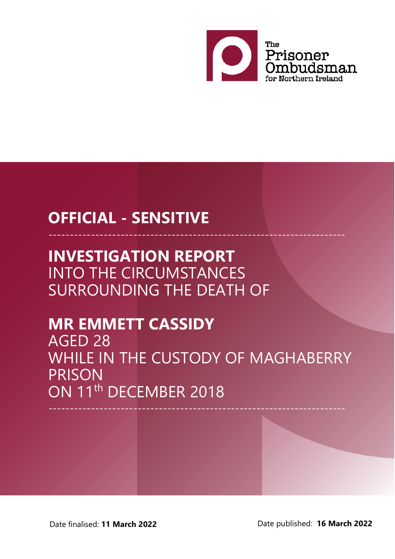

# **OFFICIAL - SENSITIVE**

# **INVESTIGATION REPORT** INTO THE CIRCUMSTANCES SURROUNDING THE DEATH OF

# **MR EMMETT CASSIDY**

AGED 28 WHILE IN THE CUSTODY OF MAGHABERRY PRISON ON 11<sup>th</sup> DECEMBER 2018

----------------------------------------------------------------------

----------------------------------------------------------------------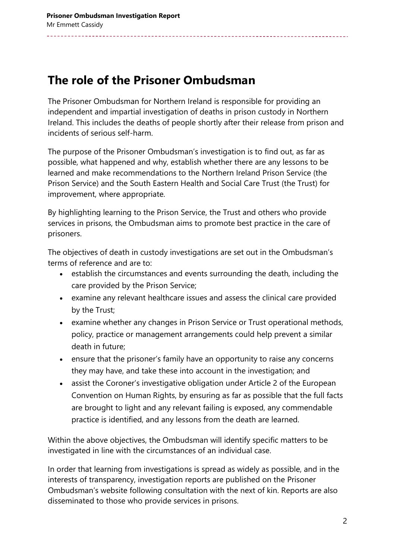### **The role of the Prisoner Ombudsman**

The Prisoner Ombudsman for Northern Ireland is responsible for providing an independent and impartial investigation of deaths in prison custody in Northern Ireland. This includes the deaths of people shortly after their release from prison and incidents of serious self-harm.

The purpose of the Prisoner Ombudsman's investigation is to find out, as far as possible, what happened and why, establish whether there are any lessons to be learned and make recommendations to the Northern Ireland Prison Service (the Prison Service) and the South Eastern Health and Social Care Trust (the Trust) for improvement, where appropriate.

By highlighting learning to the Prison Service, the Trust and others who provide services in prisons, the Ombudsman aims to promote best practice in the care of prisoners.

The objectives of death in custody investigations are set out in the Ombudsman's terms of reference and are to:

- establish the circumstances and events surrounding the death, including the care provided by the Prison Service;
- examine any relevant healthcare issues and assess the clinical care provided by the Trust;
- examine whether any changes in Prison Service or Trust operational methods, policy, practice or management arrangements could help prevent a similar death in future;
- ensure that the prisoner's family have an opportunity to raise any concerns they may have, and take these into account in the investigation; and
- assist the Coroner's investigative obligation under Article 2 of the European Convention on Human Rights, by ensuring as far as possible that the full facts are brought to light and any relevant failing is exposed, any commendable practice is identified, and any lessons from the death are learned.

Within the above objectives, the Ombudsman will identify specific matters to be investigated in line with the circumstances of an individual case.

In order that learning from investigations is spread as widely as possible, and in the interests of transparency, investigation reports are published on the Prisoner Ombudsman's website following consultation with the next of kin. Reports are also disseminated to those who provide services in prisons.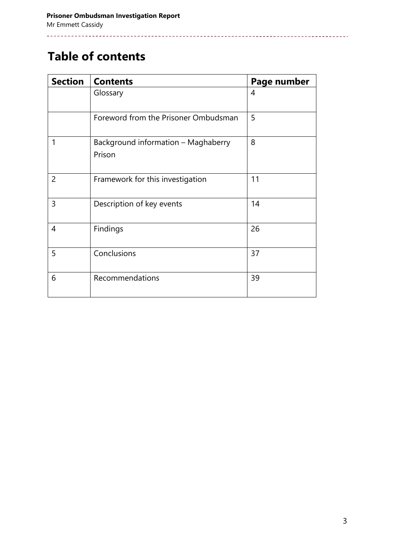## **Table of contents**

\_\_\_\_\_\_\_\_\_\_\_

| <b>Section</b> | <b>Contents</b>                               | Page number |
|----------------|-----------------------------------------------|-------------|
|                | Glossary                                      | 4           |
|                | Foreword from the Prisoner Ombudsman          | 5           |
| 1              | Background information - Maghaberry<br>Prison | 8           |
| 2              | Framework for this investigation              | 11          |
| 3              | Description of key events                     | 14          |
| 4              | Findings                                      | 26          |
| 5              | Conclusions                                   | 37          |
| 6              | Recommendations                               | 39          |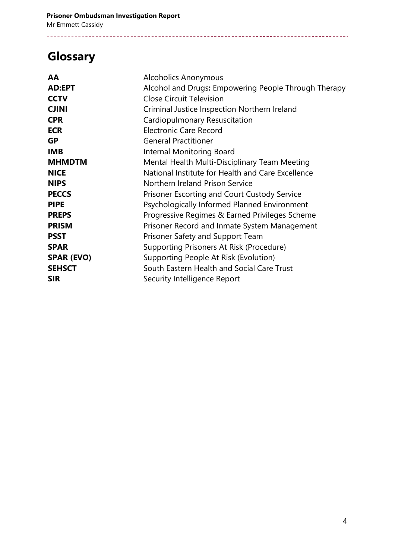# **Glossary**

| AA                | <b>Alcoholics Anonymous</b>                          |  |
|-------------------|------------------------------------------------------|--|
| <b>AD:EPT</b>     | Alcohol and Drugs: Empowering People Through Therapy |  |
| <b>CCTV</b>       | <b>Close Circuit Television</b>                      |  |
| <b>CJINI</b>      | Criminal Justice Inspection Northern Ireland         |  |
| <b>CPR</b>        | Cardiopulmonary Resuscitation                        |  |
| <b>ECR</b>        | <b>Electronic Care Record</b>                        |  |
| <b>GP</b>         | <b>General Practitioner</b>                          |  |
| <b>IMB</b>        | Internal Monitoring Board                            |  |
| <b>MHMDTM</b>     | Mental Health Multi-Disciplinary Team Meeting        |  |
| <b>NICE</b>       | National Institute for Health and Care Excellence    |  |
| <b>NIPS</b>       | Northern Ireland Prison Service                      |  |
| <b>PECCS</b>      | Prisoner Escorting and Court Custody Service         |  |
| <b>PIPE</b>       | Psychologically Informed Planned Environment         |  |
| <b>PREPS</b>      | Progressive Regimes & Earned Privileges Scheme       |  |
| <b>PRISM</b>      | Prisoner Record and Inmate System Management         |  |
| <b>PSST</b>       | Prisoner Safety and Support Team                     |  |
| <b>SPAR</b>       | Supporting Prisoners At Risk (Procedure)             |  |
| <b>SPAR (EVO)</b> | Supporting People At Risk (Evolution)                |  |
| <b>SEHSCT</b>     | South Eastern Health and Social Care Trust           |  |
| <b>SIR</b>        | Security Intelligence Report                         |  |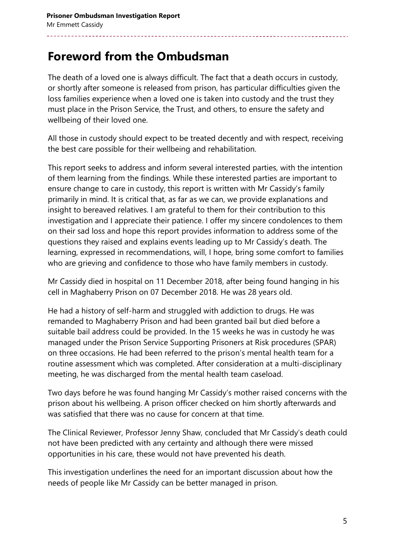## **Foreword from the Ombudsman**

The death of a loved one is always difficult. The fact that a death occurs in custody, or shortly after someone is released from prison, has particular difficulties given the loss families experience when a loved one is taken into custody and the trust they must place in the Prison Service, the Trust, and others, to ensure the safety and wellbeing of their loved one.

All those in custody should expect to be treated decently and with respect, receiving the best care possible for their wellbeing and rehabilitation.

This report seeks to address and inform several interested parties, with the intention of them learning from the findings. While these interested parties are important to ensure change to care in custody, this report is written with Mr Cassidy's family primarily in mind. It is critical that, as far as we can, we provide explanations and insight to bereaved relatives. I am grateful to them for their contribution to this investigation and I appreciate their patience. I offer my sincere condolences to them on their sad loss and hope this report provides information to address some of the questions they raised and explains events leading up to Mr Cassidy's death. The learning, expressed in recommendations, will, I hope, bring some comfort to families who are grieving and confidence to those who have family members in custody.

Mr Cassidy died in hospital on 11 December 2018, after being found hanging in his cell in Maghaberry Prison on 07 December 2018. He was 28 years old.

He had a history of self-harm and struggled with addiction to drugs. He was remanded to Maghaberry Prison and had been granted bail but died before a suitable bail address could be provided. In the 15 weeks he was in custody he was managed under the Prison Service Supporting Prisoners at Risk procedures (SPAR) on three occasions. He had been referred to the prison's mental health team for a routine assessment which was completed. After consideration at a multi-disciplinary meeting, he was discharged from the mental health team caseload.

Two days before he was found hanging Mr Cassidy's mother raised concerns with the prison about his wellbeing. A prison officer checked on him shortly afterwards and was satisfied that there was no cause for concern at that time.

The Clinical Reviewer, Professor Jenny Shaw, concluded that Mr Cassidy's death could not have been predicted with any certainty and although there were missed opportunities in his care, these would not have prevented his death.

This investigation underlines the need for an important discussion about how the needs of people like Mr Cassidy can be better managed in prison.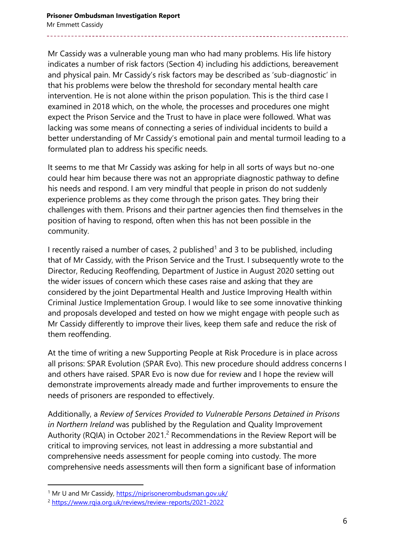Mr Cassidy was a vulnerable young man who had many problems. His life history indicates a number of risk factors (Section 4) including his addictions, bereavement and physical pain. Mr Cassidy's risk factors may be described as 'sub-diagnostic' in that his problems were below the threshold for secondary mental health care intervention. He is not alone within the prison population. This is the third case I examined in 2018 which, on the whole, the processes and procedures one might expect the Prison Service and the Trust to have in place were followed. What was lacking was some means of connecting a series of individual incidents to build a better understanding of Mr Cassidy's emotional pain and mental turmoil leading to a formulated plan to address his specific needs.

It seems to me that Mr Cassidy was asking for help in all sorts of ways but no-one could hear him because there was not an appropriate diagnostic pathway to define his needs and respond. I am very mindful that people in prison do not suddenly experience problems as they come through the prison gates. They bring their challenges with them. Prisons and their partner agencies then find themselves in the position of having to respond, often when this has not been possible in the community.

I recently raised a number of cases, 2 published<sup>1</sup> and 3 to be published, including that of Mr Cassidy, with the Prison Service and the Trust. I subsequently wrote to the Director, Reducing Reoffending, Department of Justice in August 2020 setting out the wider issues of concern which these cases raise and asking that they are considered by the joint Departmental Health and Justice Improving Health within Criminal Justice Implementation Group. I would like to see some innovative thinking and proposals developed and tested on how we might engage with people such as Mr Cassidy differently to improve their lives, keep them safe and reduce the risk of them reoffending.

At the time of writing a new Supporting People at Risk Procedure is in place across all prisons: SPAR Evolution (SPAR Evo). This new procedure should address concerns I and others have raised. SPAR Evo is now due for review and I hope the review will demonstrate improvements already made and further improvements to ensure the needs of prisoners are responded to effectively.

Additionally, a *Review of Services Provided to Vulnerable Persons Detained in Prisons in Northern Ireland* was published by the Regulation and Quality Improvement Authority (RQIA) in October 2021.<sup>2</sup> Recommendations in the Review Report will be critical to improving services, not least in addressing a more substantial and comprehensive needs assessment for people coming into custody. The more comprehensive needs assessments will then form a significant base of information

<sup>1</sup> Mr U and Mr Cassidy, <https://niprisonerombudsman.gov.uk/>

<sup>2</sup> <https://www.rqia.org.uk/reviews/review-reports/2021-2022>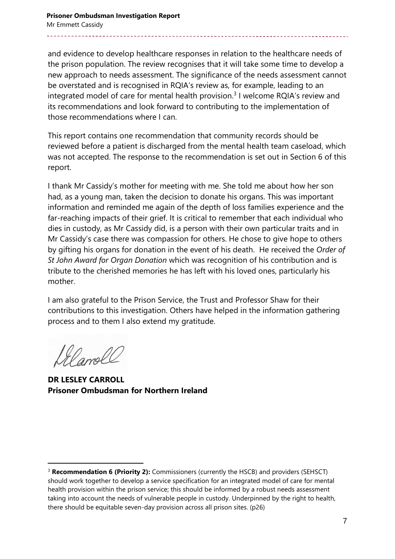and evidence to develop healthcare responses in relation to the healthcare needs of the prison population. The review recognises that it will take some time to develop a new approach to needs assessment. The significance of the needs assessment cannot be overstated and is recognised in RQIA's review as, for example, leading to an integrated model of care for mental health provision.<sup>3</sup> I welcome RQIA's review and its recommendations and look forward to contributing to the implementation of those recommendations where I can.

This report contains one recommendation that community records should be reviewed before a patient is discharged from the mental health team caseload, which was not accepted. The response to the recommendation is set out in Section 6 of this report.

I thank Mr Cassidy's mother for meeting with me. She told me about how her son had, as a young man, taken the decision to donate his organs. This was important information and reminded me again of the depth of loss families experience and the far-reaching impacts of their grief. It is critical to remember that each individual who dies in custody, as Mr Cassidy did, is a person with their own particular traits and in Mr Cassidy's case there was compassion for others. He chose to give hope to others by gifting his organs for donation in the event of his death. He received the *Order of St John Award for Organ Donation* which was recognition of his contribution and is tribute to the cherished memories he has left with his loved ones, particularly his mother.

I am also grateful to the Prison Service, the Trust and Professor Shaw for their contributions to this investigation. Others have helped in the information gathering process and to them I also extend my gratitude.

angal

**DR LESLEY CARROLL Prisoner Ombudsman for Northern Ireland**

<sup>&</sup>lt;sup>3</sup> **Recommendation 6 (Priority 2):** Commissioners (currently the HSCB) and providers (SEHSCT) should work together to develop a service specification for an integrated model of care for mental health provision within the prison service; this should be informed by a robust needs assessment taking into account the needs of vulnerable people in custody. Underpinned by the right to health, there should be equitable seven-day provision across all prison sites. (p26)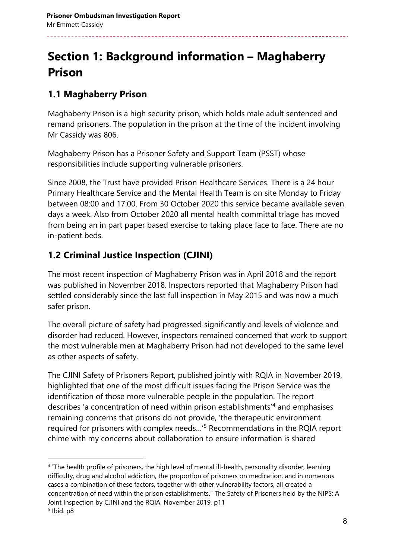# **Section 1: Background information – Maghaberry Prison**

#### **1.1 Maghaberry Prison**

Maghaberry Prison is a high security prison, which holds male adult sentenced and remand prisoners. The population in the prison at the time of the incident involving Mr Cassidy was 806.

Maghaberry Prison has a Prisoner Safety and Support Team (PSST) whose responsibilities include supporting vulnerable prisoners.

Since 2008, the Trust have provided Prison Healthcare Services. There is a 24 hour Primary Healthcare Service and the Mental Health Team is on site Monday to Friday between 08:00 and 17:00. From 30 October 2020 this service became available seven days a week. Also from October 2020 all mental health committal triage has moved from being an in part paper based exercise to taking place face to face. There are no in-patient beds.

### **1.2 Criminal Justice Inspection (CJINI)**

The most recent inspection of Maghaberry Prison was in April 2018 and the report was published in November 2018. Inspectors reported that Maghaberry Prison had settled considerably since the last full inspection in May 2015 and was now a much safer prison.

The overall picture of safety had progressed significantly and levels of violence and disorder had reduced. However, inspectors remained concerned that work to support the most vulnerable men at Maghaberry Prison had not developed to the same level as other aspects of safety.

The CJINI Safety of Prisoners Report, published jointly with RQIA in November 2019, highlighted that one of the most difficult issues facing the Prison Service was the identification of those more vulnerable people in the population. The report describes 'a concentration of need within prison establishments'<sup>4</sup> and emphasises remaining concerns that prisons do not provide, 'the therapeutic environment required for prisoners with complex needs…'<sup>5</sup> Recommendations in the RQIA report chime with my concerns about collaboration to ensure information is shared

<sup>4</sup> "The health profile of prisoners, the high level of mental ill-health, personality disorder, learning difficulty, drug and alcohol addiction, the proportion of prisoners on medication, and in numerous cases a combination of these factors, together with other vulnerability factors, all created a concentration of need within the prison establishments." The Safety of Prisoners held by the NIPS: A Joint Inspection by CJINI and the RQIA, November 2019, p11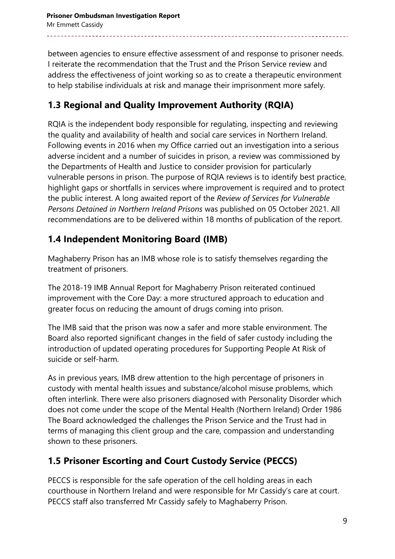between agencies to ensure effective assessment of and response to prisoner needs. I reiterate the recommendation that the Trust and the Prison Service review and address the effectiveness of joint working so as to create a therapeutic environment to help stabilise individuals at risk and manage their imprisonment more safely.

### **1.3 Regional and Quality Improvement Authority (RQIA)**

RQIA is the independent body responsible for regulating, inspecting and reviewing the quality and availability of health and social care services in Northern Ireland. Following events in 2016 when my Office carried out an investigation into a serious adverse incident and a number of suicides in prison, a review was commissioned by the Departments of Health and Justice to consider provision for particularly vulnerable persons in prison. The purpose of RQIA reviews is to identify best practice, highlight gaps or shortfalls in services where improvement is required and to protect the public interest. A long awaited report of the *Review of Services for Vulnerable Persons Detained in Northern Ireland Prisons* was published on 05 October 2021. All recommendations are to be delivered within 18 months of publication of the report.

### **1.4 Independent Monitoring Board (IMB)**

Maghaberry Prison has an IMB whose role is to satisfy themselves regarding the treatment of prisoners.

The 2018-19 IMB Annual Report for Maghaberry Prison reiterated continued improvement with the Core Day: a more structured approach to education and greater focus on reducing the amount of drugs coming into prison.

The IMB said that the prison was now a safer and more stable environment. The Board also reported significant changes in the field of safer custody including the introduction of updated operating procedures for Supporting People At Risk of suicide or self-harm.

As in previous years, IMB drew attention to the high percentage of prisoners in custody with mental health issues and substance/alcohol misuse problems, which often interlink. There were also prisoners diagnosed with Personality Disorder which does not come under the scope of the Mental Health (Northern Ireland) Order 1986 The Board acknowledged the challenges the Prison Service and the Trust had in terms of managing this client group and the care, compassion and understanding shown to these prisoners.

### **1.5 Prisoner Escorting and Court Custody Service (PECCS)**

PECCS is responsible for the safe operation of the cell holding areas in each courthouse in Northern Ireland and were responsible for Mr Cassidy's care at court. PECCS staff also transferred Mr Cassidy safely to Maghaberry Prison.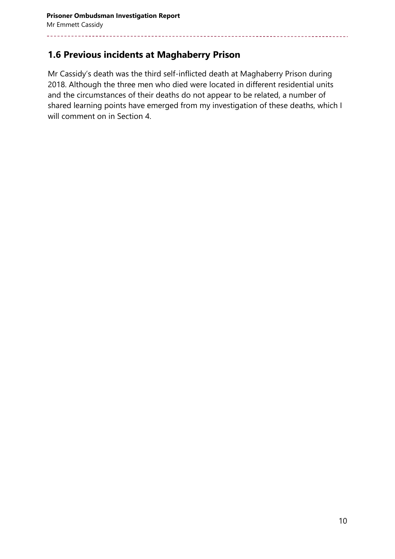#### **1.6 Previous incidents at Maghaberry Prison**

Mr Cassidy's death was the third self-inflicted death at Maghaberry Prison during 2018. Although the three men who died were located in different residential units and the circumstances of their deaths do not appear to be related, a number of shared learning points have emerged from my investigation of these deaths, which I will comment on in Section 4.

-------------------------------------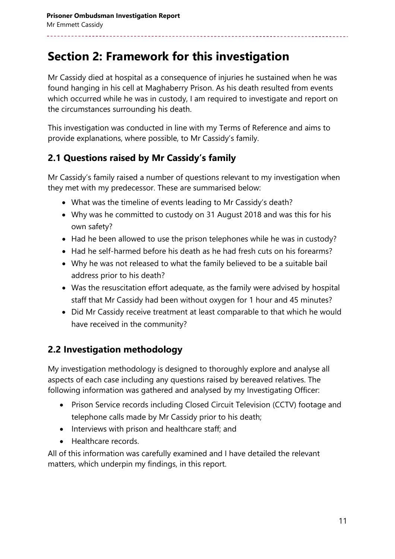## **Section 2: Framework for this investigation**

Mr Cassidy died at hospital as a consequence of injuries he sustained when he was found hanging in his cell at Maghaberry Prison. As his death resulted from events which occurred while he was in custody, I am required to investigate and report on the circumstances surrounding his death.

This investigation was conducted in line with my Terms of Reference and aims to provide explanations, where possible, to Mr Cassidy's family.

#### **2.1 Questions raised by Mr Cassidy's family**

Mr Cassidy's family raised a number of questions relevant to my investigation when they met with my predecessor. These are summarised below:

- What was the timeline of events leading to Mr Cassidy's death?
- Why was he committed to custody on 31 August 2018 and was this for his own safety?
- Had he been allowed to use the prison telephones while he was in custody?
- Had he self-harmed before his death as he had fresh cuts on his forearms?
- Why he was not released to what the family believed to be a suitable bail address prior to his death?
- Was the resuscitation effort adequate, as the family were advised by hospital staff that Mr Cassidy had been without oxygen for 1 hour and 45 minutes?
- Did Mr Cassidy receive treatment at least comparable to that which he would have received in the community?

### **2.2 Investigation methodology**

My investigation methodology is designed to thoroughly explore and analyse all aspects of each case including any questions raised by bereaved relatives. The following information was gathered and analysed by my Investigating Officer:

- Prison Service records including Closed Circuit Television (CCTV) footage and telephone calls made by Mr Cassidy prior to his death;
- Interviews with prison and healthcare staff; and
- Healthcare records.

All of this information was carefully examined and I have detailed the relevant matters, which underpin my findings, in this report.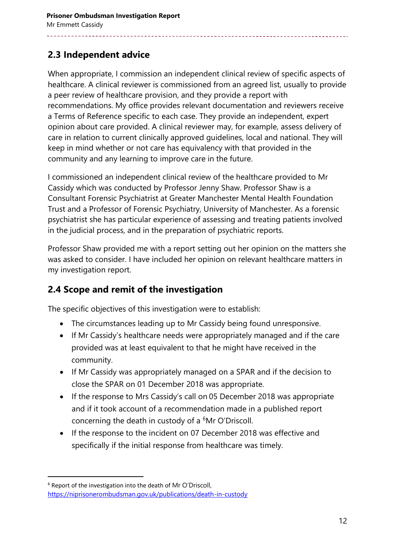#### **2.3 Independent advice**

When appropriate, I commission an independent clinical review of specific aspects of healthcare. A clinical reviewer is commissioned from an agreed list, usually to provide a peer review of healthcare provision, and they provide a report with recommendations. My office provides relevant documentation and reviewers receive a Terms of Reference specific to each case. They provide an independent, expert opinion about care provided. A clinical reviewer may, for example, assess delivery of care in relation to current clinically approved guidelines, local and national. They will keep in mind whether or not care has equivalency with that provided in the community and any learning to improve care in the future.

I commissioned an independent clinical review of the healthcare provided to Mr Cassidy which was conducted by Professor Jenny Shaw. Professor Shaw is a Consultant Forensic Psychiatrist at Greater Manchester Mental Health Foundation Trust and a Professor of Forensic Psychiatry, University of Manchester. As a forensic psychiatrist she has particular experience of assessing and treating patients involved in the judicial process, and in the preparation of psychiatric reports.

Professor Shaw provided me with a report setting out her opinion on the matters she was asked to consider. I have included her opinion on relevant healthcare matters in my investigation report.

#### **2.4 Scope and remit of the investigation**

The specific objectives of this investigation were to establish:

- The circumstances leading up to Mr Cassidy being found unresponsive.
- If Mr Cassidy's healthcare needs were appropriately managed and if the care provided was at least equivalent to that he might have received in the community.
- If Mr Cassidy was appropriately managed on a SPAR and if the decision to close the SPAR on 01 December 2018 was appropriate.
- If the response to Mrs Cassidy's call on 05 December 2018 was appropriate and if it took account of a recommendation made in a published report concerning the death in custody of a <sup>6</sup>Mr O'Driscoll.
- If the response to the incident on 07 December 2018 was effective and specifically if the initial response from healthcare was timely.

<sup>6</sup> Report of the investigation into the death of Mr O'Driscoll, <https://niprisonerombudsman.gov.uk/publications/death-in-custody>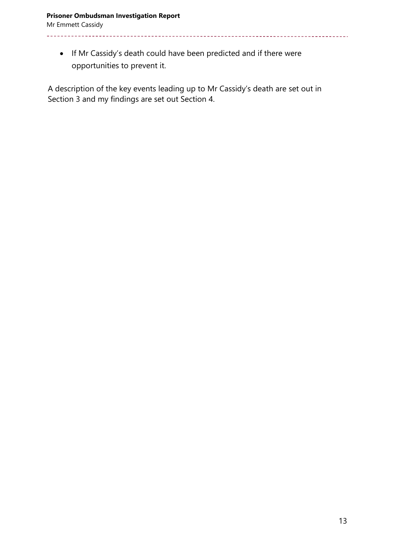<u>. . . . . . . . . . .</u>

 If Mr Cassidy's death could have been predicted and if there were opportunities to prevent it.

\_\_\_\_\_\_\_\_\_\_\_\_\_\_\_\_\_\_\_\_\_\_\_\_\_\_\_\_\_\_

<u>\_\_\_\_\_\_\_\_\_\_\_\_\_\_\_</u>

A description of the key events leading up to Mr Cassidy's death are set out in Section 3 and my findings are set out Section 4.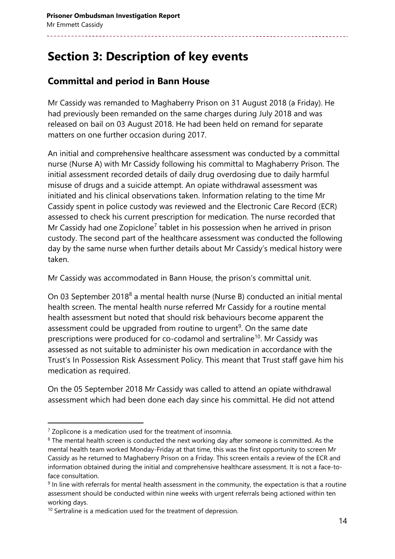# **Section 3: Description of key events**

### **Committal and period in Bann House**

Mr Cassidy was remanded to Maghaberry Prison on 31 August 2018 (a Friday). He had previously been remanded on the same charges during July 2018 and was released on bail on 03 August 2018. He had been held on remand for separate matters on one further occasion during 2017.

An initial and comprehensive healthcare assessment was conducted by a committal nurse (Nurse A) with Mr Cassidy following his committal to Maghaberry Prison. The initial assessment recorded details of daily drug overdosing due to daily harmful misuse of drugs and a suicide attempt. An opiate withdrawal assessment was initiated and his clinical observations taken. Information relating to the time Mr Cassidy spent in police custody was reviewed and the Electronic Care Record (ECR) assessed to check his current prescription for medication. The nurse recorded that Mr Cassidy had one Zopiclone<sup>7</sup> tablet in his possession when he arrived in prison custody. The second part of the healthcare assessment was conducted the following day by the same nurse when further details about Mr Cassidy's medical history were taken.

Mr Cassidy was accommodated in Bann House, the prison's committal unit.

On 03 September 2018<sup>8</sup> a mental health nurse (Nurse B) conducted an initial mental health screen. The mental health nurse referred Mr Cassidy for a routine mental health assessment but noted that should risk behaviours become apparent the assessment could be upgraded from routine to urgent<sup>9</sup>. On the same date prescriptions were produced for co-codamol and sertraline<sup>10</sup>. Mr Cassidy was assessed as not suitable to administer his own medication in accordance with the Trust's In Possession Risk Assessment Policy. This meant that Trust staff gave him his medication as required.

On the 05 September 2018 Mr Cassidy was called to attend an opiate withdrawal assessment which had been done each day since his committal. He did not attend

l

 $7$  Zoplicone is a medication used for the treatment of insomnia.

<sup>&</sup>lt;sup>8</sup> The mental health screen is conducted the next working day after someone is committed. As the mental health team worked Monday-Friday at that time, this was the first opportunity to screen Mr Cassidy as he returned to Maghaberry Prison on a Friday. This screen entails a review of the ECR and information obtained during the initial and comprehensive healthcare assessment. It is not a face-toface consultation.

<sup>&</sup>lt;sup>9</sup> In line with referrals for mental health assessment in the community, the expectation is that a routine assessment should be conducted within nine weeks with urgent referrals being actioned within ten working days.

 $10$  Sertraline is a medication used for the treatment of depression.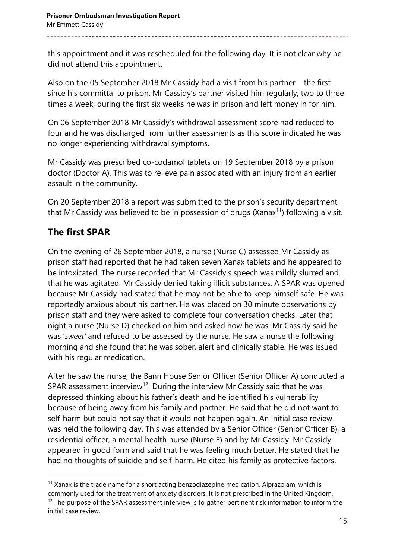this appointment and it was rescheduled for the following day. It is not clear why he did not attend this appointment.

Also on the 05 September 2018 Mr Cassidy had a visit from his partner – the first since his committal to prison. Mr Cassidy's partner visited him regularly, two to three times a week, during the first six weeks he was in prison and left money in for him.

On 06 September 2018 Mr Cassidy's withdrawal assessment score had reduced to four and he was discharged from further assessments as this score indicated he was no longer experiencing withdrawal symptoms.

Mr Cassidy was prescribed co-codamol tablets on 19 September 2018 by a prison doctor (Doctor A). This was to relieve pain associated with an injury from an earlier assault in the community.

On 20 September 2018 a report was submitted to the prison's security department that Mr Cassidy was believed to be in possession of drugs (Xanax<sup>11</sup>) following a visit.

### **The first SPAR**

 $\overline{a}$ 

On the evening of 26 September 2018, a nurse (Nurse C) assessed Mr Cassidy as prison staff had reported that he had taken seven Xanax tablets and he appeared to be intoxicated. The nurse recorded that Mr Cassidy's speech was mildly slurred and that he was agitated. Mr Cassidy denied taking illicit substances. A SPAR was opened because Mr Cassidy had stated that he may not be able to keep himself safe. He was reportedly anxious about his partner. He was placed on 30 minute observations by prison staff and they were asked to complete four conversation checks. Later that night a nurse (Nurse D) checked on him and asked how he was. Mr Cassidy said he was '*sweet'* and refused to be assessed by the nurse. He saw a nurse the following morning and she found that he was sober, alert and clinically stable. He was issued with his regular medication.

After he saw the nurse, the Bann House Senior Officer (Senior Officer A) conducted a SPAR assessment interview<sup>12</sup>. During the interview Mr Cassidy said that he was depressed thinking about his father's death and he identified his vulnerability because of being away from his family and partner. He said that he did not want to self-harm but could not say that it would not happen again. An initial case review was held the following day. This was attended by a Senior Officer (Senior Officer B), a residential officer, a mental health nurse (Nurse E) and by Mr Cassidy. Mr Cassidy appeared in good form and said that he was feeling much better. He stated that he had no thoughts of suicide and self-harm. He cited his family as protective factors.

 $11$  Xanax is the trade name for a short acting benzodiazepine medication, Alprazolam, which is commonly used for the treatment of anxiety disorders. It is not prescribed in the United Kingdom.  $12$  The purpose of the SPAR assessment interview is to gather pertinent risk information to inform the initial case review.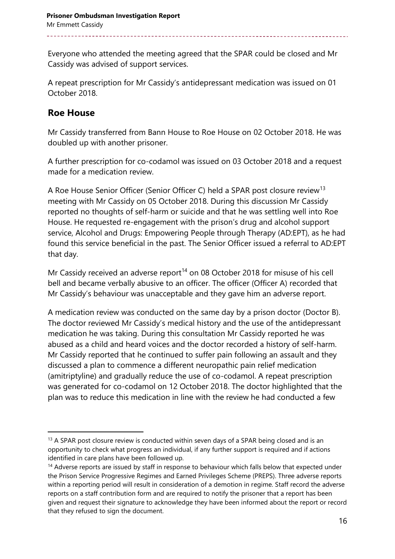Everyone who attended the meeting agreed that the SPAR could be closed and Mr Cassidy was advised of support services.

A repeat prescription for Mr Cassidy's antidepressant medication was issued on 01 October 2018.

#### **Roe House**

 $\overline{a}$ 

Mr Cassidy transferred from Bann House to Roe House on 02 October 2018. He was doubled up with another prisoner.

A further prescription for co-codamol was issued on 03 October 2018 and a request made for a medication review.

A Roe House Senior Officer (Senior Officer C) held a SPAR post closure review<sup>13</sup> meeting with Mr Cassidy on 05 October 2018. During this discussion Mr Cassidy reported no thoughts of self-harm or suicide and that he was settling well into Roe House. He requested re-engagement with the prison's drug and alcohol support service, Alcohol and Drugs: Empowering People through Therapy (AD:EPT), as he had found this service beneficial in the past. The Senior Officer issued a referral to AD:EPT that day.

Mr Cassidy received an adverse report<sup>14</sup> on 08 October 2018 for misuse of his cell bell and became verbally abusive to an officer. The officer (Officer A) recorded that Mr Cassidy's behaviour was unacceptable and they gave him an adverse report.

A medication review was conducted on the same day by a prison doctor (Doctor B). The doctor reviewed Mr Cassidy's medical history and the use of the antidepressant medication he was taking. During this consultation Mr Cassidy reported he was abused as a child and heard voices and the doctor recorded a history of self-harm. Mr Cassidy reported that he continued to suffer pain following an assault and they discussed a plan to commence a different neuropathic pain relief medication (amitriptyline) and gradually reduce the use of co-codamol. A repeat prescription was generated for co-codamol on 12 October 2018. The doctor highlighted that the plan was to reduce this medication in line with the review he had conducted a few

<sup>&</sup>lt;sup>13</sup> A SPAR post closure review is conducted within seven days of a SPAR being closed and is an opportunity to check what progress an individual, if any further support is required and if actions identified in care plans have been followed up.

<sup>&</sup>lt;sup>14</sup> Adverse reports are issued by staff in response to behaviour which falls below that expected under the Prison Service Progressive Regimes and Earned Privileges Scheme (PREPS). Three adverse reports within a reporting period will result in consideration of a demotion in regime. Staff record the adverse reports on a staff contribution form and are required to notify the prisoner that a report has been given and request their signature to acknowledge they have been informed about the report or record that they refused to sign the document.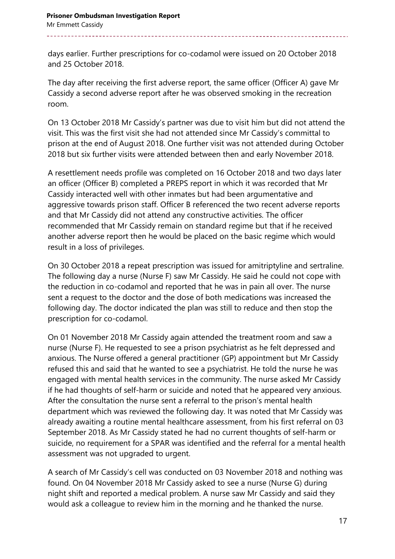days earlier. Further prescriptions for co-codamol were issued on 20 October 2018 and 25 October 2018.

The day after receiving the first adverse report, the same officer (Officer A) gave Mr Cassidy a second adverse report after he was observed smoking in the recreation room.

On 13 October 2018 Mr Cassidy's partner was due to visit him but did not attend the visit. This was the first visit she had not attended since Mr Cassidy's committal to prison at the end of August 2018. One further visit was not attended during October 2018 but six further visits were attended between then and early November 2018.

A resettlement needs profile was completed on 16 October 2018 and two days later an officer (Officer B) completed a PREPS report in which it was recorded that Mr Cassidy interacted well with other inmates but had been argumentative and aggressive towards prison staff. Officer B referenced the two recent adverse reports and that Mr Cassidy did not attend any constructive activities. The officer recommended that Mr Cassidy remain on standard regime but that if he received another adverse report then he would be placed on the basic regime which would result in a loss of privileges.

On 30 October 2018 a repeat prescription was issued for amitriptyline and sertraline. The following day a nurse (Nurse F) saw Mr Cassidy. He said he could not cope with the reduction in co-codamol and reported that he was in pain all over. The nurse sent a request to the doctor and the dose of both medications was increased the following day. The doctor indicated the plan was still to reduce and then stop the prescription for co-codamol.

On 01 November 2018 Mr Cassidy again attended the treatment room and saw a nurse (Nurse F). He requested to see a prison psychiatrist as he felt depressed and anxious. The Nurse offered a general practitioner (GP) appointment but Mr Cassidy refused this and said that he wanted to see a psychiatrist. He told the nurse he was engaged with mental health services in the community. The nurse asked Mr Cassidy if he had thoughts of self-harm or suicide and noted that he appeared very anxious. After the consultation the nurse sent a referral to the prison's mental health department which was reviewed the following day. It was noted that Mr Cassidy was already awaiting a routine mental healthcare assessment, from his first referral on 03 September 2018. As Mr Cassidy stated he had no current thoughts of self-harm or suicide, no requirement for a SPAR was identified and the referral for a mental health assessment was not upgraded to urgent.

A search of Mr Cassidy's cell was conducted on 03 November 2018 and nothing was found. On 04 November 2018 Mr Cassidy asked to see a nurse (Nurse G) during night shift and reported a medical problem. A nurse saw Mr Cassidy and said they would ask a colleague to review him in the morning and he thanked the nurse.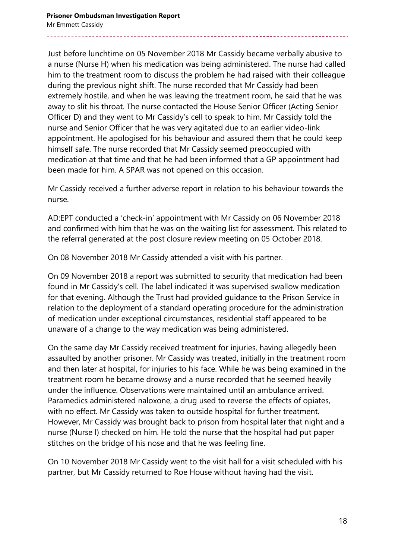Just before lunchtime on 05 November 2018 Mr Cassidy became verbally abusive to a nurse (Nurse H) when his medication was being administered. The nurse had called him to the treatment room to discuss the problem he had raised with their colleague during the previous night shift. The nurse recorded that Mr Cassidy had been extremely hostile, and when he was leaving the treatment room, he said that he was away to slit his throat. The nurse contacted the House Senior Officer (Acting Senior Officer D) and they went to Mr Cassidy's cell to speak to him. Mr Cassidy told the nurse and Senior Officer that he was very agitated due to an earlier video-link appointment. He apologised for his behaviour and assured them that he could keep himself safe. The nurse recorded that Mr Cassidy seemed preoccupied with medication at that time and that he had been informed that a GP appointment had been made for him. A SPAR was not opened on this occasion.

Mr Cassidy received a further adverse report in relation to his behaviour towards the nurse.

AD:EPT conducted a 'check-in' appointment with Mr Cassidy on 06 November 2018 and confirmed with him that he was on the waiting list for assessment. This related to the referral generated at the post closure review meeting on 05 October 2018.

On 08 November 2018 Mr Cassidy attended a visit with his partner.

On 09 November 2018 a report was submitted to security that medication had been found in Mr Cassidy's cell. The label indicated it was supervised swallow medication for that evening. Although the Trust had provided guidance to the Prison Service in relation to the deployment of a standard operating procedure for the administration of medication under exceptional circumstances, residential staff appeared to be unaware of a change to the way medication was being administered.

On the same day Mr Cassidy received treatment for injuries, having allegedly been assaulted by another prisoner. Mr Cassidy was treated, initially in the treatment room and then later at hospital, for injuries to his face. While he was being examined in the treatment room he became drowsy and a nurse recorded that he seemed heavily under the influence. Observations were maintained until an ambulance arrived. Paramedics administered naloxone, a drug used to reverse the effects of opiates, with no effect. Mr Cassidy was taken to outside hospital for further treatment. However, Mr Cassidy was brought back to prison from hospital later that night and a nurse (Nurse I) checked on him. He told the nurse that the hospital had put paper stitches on the bridge of his nose and that he was feeling fine.

On 10 November 2018 Mr Cassidy went to the visit hall for a visit scheduled with his partner, but Mr Cassidy returned to Roe House without having had the visit.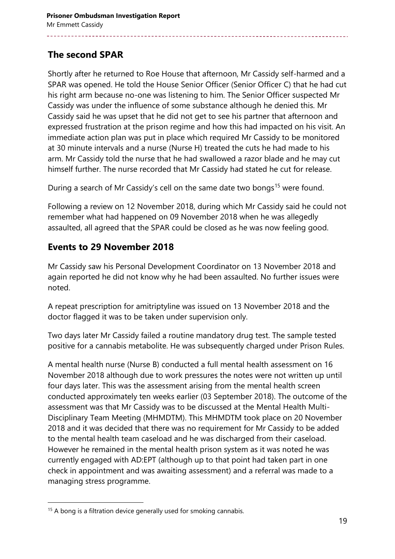### **The second SPAR**

Shortly after he returned to Roe House that afternoon, Mr Cassidy self-harmed and a SPAR was opened. He told the House Senior Officer (Senior Officer C) that he had cut his right arm because no-one was listening to him. The Senior Officer suspected Mr Cassidy was under the influence of some substance although he denied this. Mr Cassidy said he was upset that he did not get to see his partner that afternoon and expressed frustration at the prison regime and how this had impacted on his visit. An immediate action plan was put in place which required Mr Cassidy to be monitored at 30 minute intervals and a nurse (Nurse H) treated the cuts he had made to his arm. Mr Cassidy told the nurse that he had swallowed a razor blade and he may cut himself further. The nurse recorded that Mr Cassidy had stated he cut for release.

During a search of Mr Cassidy's cell on the same date two bongs<sup>15</sup> were found.

Following a review on 12 November 2018, during which Mr Cassidy said he could not remember what had happened on 09 November 2018 when he was allegedly assaulted, all agreed that the SPAR could be closed as he was now feeling good.

#### **Events to 29 November 2018**

Mr Cassidy saw his Personal Development Coordinator on 13 November 2018 and again reported he did not know why he had been assaulted. No further issues were noted.

A repeat prescription for amitriptyline was issued on 13 November 2018 and the doctor flagged it was to be taken under supervision only.

Two days later Mr Cassidy failed a routine mandatory drug test. The sample tested positive for a cannabis metabolite. He was subsequently charged under Prison Rules.

A mental health nurse (Nurse B) conducted a full mental health assessment on 16 November 2018 although due to work pressures the notes were not written up until four days later. This was the assessment arising from the mental health screen conducted approximately ten weeks earlier (03 September 2018). The outcome of the assessment was that Mr Cassidy was to be discussed at the Mental Health Multi-Disciplinary Team Meeting (MHMDTM). This MHMDTM took place on 20 November 2018 and it was decided that there was no requirement for Mr Cassidy to be added to the mental health team caseload and he was discharged from their caseload. However he remained in the mental health prison system as it was noted he was currently engaged with AD:EPT (although up to that point had taken part in one check in appointment and was awaiting assessment) and a referral was made to a managing stress programme.

 $15$  A bong is a filtration device generally used for smoking cannabis.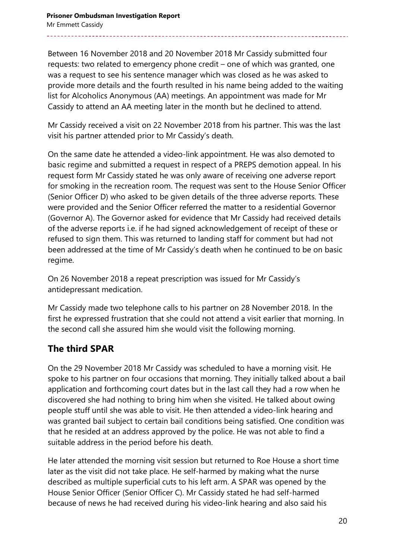Between 16 November 2018 and 20 November 2018 Mr Cassidy submitted four requests: two related to emergency phone credit – one of which was granted, one was a request to see his sentence manager which was closed as he was asked to provide more details and the fourth resulted in his name being added to the waiting list for Alcoholics Anonymous (AA) meetings. An appointment was made for Mr Cassidy to attend an AA meeting later in the month but he declined to attend.

Mr Cassidy received a visit on 22 November 2018 from his partner. This was the last visit his partner attended prior to Mr Cassidy's death.

On the same date he attended a video-link appointment. He was also demoted to basic regime and submitted a request in respect of a PREPS demotion appeal. In his request form Mr Cassidy stated he was only aware of receiving one adverse report for smoking in the recreation room. The request was sent to the House Senior Officer (Senior Officer D) who asked to be given details of the three adverse reports. These were provided and the Senior Officer referred the matter to a residential Governor (Governor A). The Governor asked for evidence that Mr Cassidy had received details of the adverse reports i.e. if he had signed acknowledgement of receipt of these or refused to sign them. This was returned to landing staff for comment but had not been addressed at the time of Mr Cassidy's death when he continued to be on basic regime.

On 26 November 2018 a repeat prescription was issued for Mr Cassidy's antidepressant medication.

Mr Cassidy made two telephone calls to his partner on 28 November 2018. In the first he expressed frustration that she could not attend a visit earlier that morning. In the second call she assured him she would visit the following morning.

### **The third SPAR**

On the 29 November 2018 Mr Cassidy was scheduled to have a morning visit. He spoke to his partner on four occasions that morning. They initially talked about a bail application and forthcoming court dates but in the last call they had a row when he discovered she had nothing to bring him when she visited. He talked about owing people stuff until she was able to visit. He then attended a video-link hearing and was granted bail subject to certain bail conditions being satisfied. One condition was that he resided at an address approved by the police. He was not able to find a suitable address in the period before his death.

He later attended the morning visit session but returned to Roe House a short time later as the visit did not take place. He self-harmed by making what the nurse described as multiple superficial cuts to his left arm. A SPAR was opened by the House Senior Officer (Senior Officer C). Mr Cassidy stated he had self-harmed because of news he had received during his video-link hearing and also said his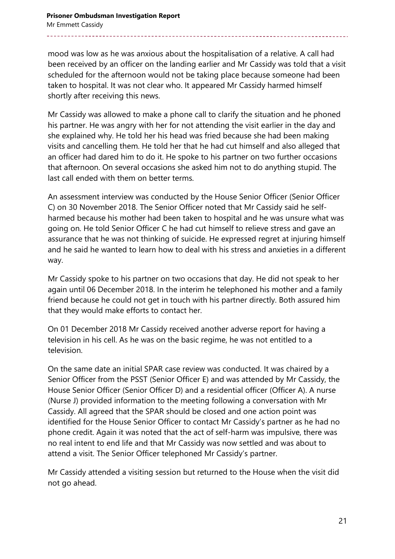mood was low as he was anxious about the hospitalisation of a relative. A call had been received by an officer on the landing earlier and Mr Cassidy was told that a visit scheduled for the afternoon would not be taking place because someone had been taken to hospital. It was not clear who. It appeared Mr Cassidy harmed himself shortly after receiving this news.

Mr Cassidy was allowed to make a phone call to clarify the situation and he phoned his partner. He was angry with her for not attending the visit earlier in the day and she explained why. He told her his head was fried because she had been making visits and cancelling them. He told her that he had cut himself and also alleged that an officer had dared him to do it. He spoke to his partner on two further occasions that afternoon. On several occasions she asked him not to do anything stupid. The last call ended with them on better terms.

An assessment interview was conducted by the House Senior Officer (Senior Officer C) on 30 November 2018. The Senior Officer noted that Mr Cassidy said he selfharmed because his mother had been taken to hospital and he was unsure what was going on. He told Senior Officer C he had cut himself to relieve stress and gave an assurance that he was not thinking of suicide. He expressed regret at injuring himself and he said he wanted to learn how to deal with his stress and anxieties in a different way.

Mr Cassidy spoke to his partner on two occasions that day. He did not speak to her again until 06 December 2018. In the interim he telephoned his mother and a family friend because he could not get in touch with his partner directly. Both assured him that they would make efforts to contact her.

On 01 December 2018 Mr Cassidy received another adverse report for having a television in his cell. As he was on the basic regime, he was not entitled to a television.

On the same date an initial SPAR case review was conducted. It was chaired by a Senior Officer from the PSST (Senior Officer E) and was attended by Mr Cassidy, the House Senior Officer (Senior Officer D) and a residential officer (Officer A). A nurse (Nurse J) provided information to the meeting following a conversation with Mr Cassidy. All agreed that the SPAR should be closed and one action point was identified for the House Senior Officer to contact Mr Cassidy's partner as he had no phone credit. Again it was noted that the act of self-harm was impulsive, there was no real intent to end life and that Mr Cassidy was now settled and was about to attend a visit. The Senior Officer telephoned Mr Cassidy's partner.

Mr Cassidy attended a visiting session but returned to the House when the visit did not go ahead.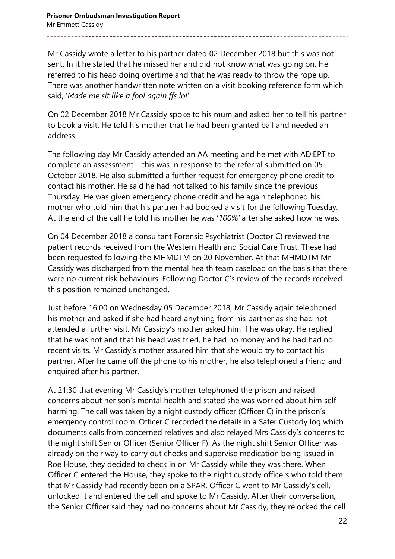Mr Cassidy wrote a letter to his partner dated 02 December 2018 but this was not sent. In it he stated that he missed her and did not know what was going on. He referred to his head doing overtime and that he was ready to throw the rope up. There was another handwritten note written on a visit booking reference form which said, '*Made me sit like a fool again ffs lol*'.

On 02 December 2018 Mr Cassidy spoke to his mum and asked her to tell his partner to book a visit. He told his mother that he had been granted bail and needed an address.

The following day Mr Cassidy attended an AA meeting and he met with AD:EPT to complete an assessment – this was in response to the referral submitted on 05 October 2018. He also submitted a further request for emergency phone credit to contact his mother. He said he had not talked to his family since the previous Thursday. He was given emergency phone credit and he again telephoned his mother who told him that his partner had booked a visit for the following Tuesday. At the end of the call he told his mother he was '*100%'* after she asked how he was.

On 04 December 2018 a consultant Forensic Psychiatrist (Doctor C) reviewed the patient records received from the Western Health and Social Care Trust. These had been requested following the MHMDTM on 20 November. At that MHMDTM Mr Cassidy was discharged from the mental health team caseload on the basis that there were no current risk behaviours. Following Doctor C's review of the records received this position remained unchanged.

Just before 16:00 on Wednesday 05 December 2018, Mr Cassidy again telephoned his mother and asked if she had heard anything from his partner as she had not attended a further visit. Mr Cassidy's mother asked him if he was okay. He replied that he was not and that his head was fried, he had no money and he had had no recent visits. Mr Cassidy's mother assured him that she would try to contact his partner. After he came off the phone to his mother, he also telephoned a friend and enquired after his partner.

At 21:30 that evening Mr Cassidy's mother telephoned the prison and raised concerns about her son's mental health and stated she was worried about him selfharming. The call was taken by a night custody officer (Officer C) in the prison's emergency control room. Officer C recorded the details in a Safer Custody log which documents calls from concerned relatives and also relayed Mrs Cassidy's concerns to the night shift Senior Officer (Senior Officer F). As the night shift Senior Officer was already on their way to carry out checks and supervise medication being issued in Roe House, they decided to check in on Mr Cassidy while they was there. When Officer C entered the House, they spoke to the night custody officers who told them that Mr Cassidy had recently been on a SPAR. Officer C went to Mr Cassidy's cell, unlocked it and entered the cell and spoke to Mr Cassidy. After their conversation, the Senior Officer said they had no concerns about Mr Cassidy, they relocked the cell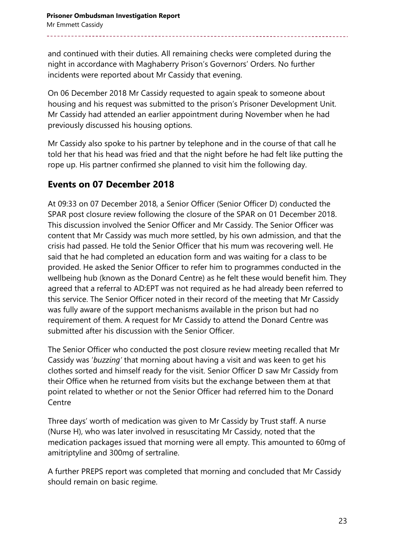and continued with their duties. All remaining checks were completed during the night in accordance with Maghaberry Prison's Governors' Orders. No further incidents were reported about Mr Cassidy that evening.

On 06 December 2018 Mr Cassidy requested to again speak to someone about housing and his request was submitted to the prison's Prisoner Development Unit. Mr Cassidy had attended an earlier appointment during November when he had previously discussed his housing options.

Mr Cassidy also spoke to his partner by telephone and in the course of that call he told her that his head was fried and that the night before he had felt like putting the rope up. His partner confirmed she planned to visit him the following day.

### **Events on 07 December 2018**

At 09:33 on 07 December 2018, a Senior Officer (Senior Officer D) conducted the SPAR post closure review following the closure of the SPAR on 01 December 2018. This discussion involved the Senior Officer and Mr Cassidy. The Senior Officer was content that Mr Cassidy was much more settled, by his own admission, and that the crisis had passed. He told the Senior Officer that his mum was recovering well. He said that he had completed an education form and was waiting for a class to be provided. He asked the Senior Officer to refer him to programmes conducted in the wellbeing hub (known as the Donard Centre) as he felt these would benefit him. They agreed that a referral to AD:EPT was not required as he had already been referred to this service. The Senior Officer noted in their record of the meeting that Mr Cassidy was fully aware of the support mechanisms available in the prison but had no requirement of them. A request for Mr Cassidy to attend the Donard Centre was submitted after his discussion with the Senior Officer.

The Senior Officer who conducted the post closure review meeting recalled that Mr Cassidy was '*buzzing'* that morning about having a visit and was keen to get his clothes sorted and himself ready for the visit. Senior Officer D saw Mr Cassidy from their Office when he returned from visits but the exchange between them at that point related to whether or not the Senior Officer had referred him to the Donard **Centre** 

Three days' worth of medication was given to Mr Cassidy by Trust staff. A nurse (Nurse H), who was later involved in resuscitating Mr Cassidy, noted that the medication packages issued that morning were all empty. This amounted to 60mg of amitriptyline and 300mg of sertraline.

A further PREPS report was completed that morning and concluded that Mr Cassidy should remain on basic regime.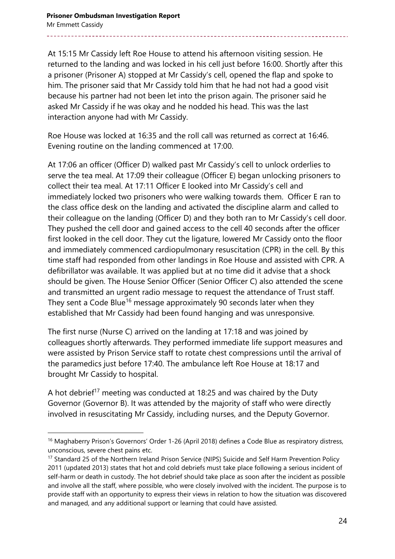At 15:15 Mr Cassidy left Roe House to attend his afternoon visiting session. He returned to the landing and was locked in his cell just before 16:00. Shortly after this a prisoner (Prisoner A) stopped at Mr Cassidy's cell, opened the flap and spoke to him. The prisoner said that Mr Cassidy told him that he had not had a good visit because his partner had not been let into the prison again. The prisoner said he asked Mr Cassidy if he was okay and he nodded his head. This was the last interaction anyone had with Mr Cassidy.

Roe House was locked at 16:35 and the roll call was returned as correct at 16:46. Evening routine on the landing commenced at 17:00.

At 17:06 an officer (Officer D) walked past Mr Cassidy's cell to unlock orderlies to serve the tea meal. At 17:09 their colleague (Officer E) began unlocking prisoners to collect their tea meal. At 17:11 Officer E looked into Mr Cassidy's cell and immediately locked two prisoners who were walking towards them. Officer E ran to the class office desk on the landing and activated the discipline alarm and called to their colleague on the landing (Officer D) and they both ran to Mr Cassidy's cell door. They pushed the cell door and gained access to the cell 40 seconds after the officer first looked in the cell door. They cut the ligature, lowered Mr Cassidy onto the floor and immediately commenced cardiopulmonary resuscitation (CPR) in the cell. By this time staff had responded from other landings in Roe House and assisted with CPR. A defibrillator was available. It was applied but at no time did it advise that a shock should be given. The House Senior Officer (Senior Officer C) also attended the scene and transmitted an urgent radio message to request the attendance of Trust staff. They sent a Code Blue<sup>16</sup> message approximately 90 seconds later when they established that Mr Cassidy had been found hanging and was unresponsive.

The first nurse (Nurse C) arrived on the landing at 17:18 and was joined by colleagues shortly afterwards. They performed immediate life support measures and were assisted by Prison Service staff to rotate chest compressions until the arrival of the paramedics just before 17:40. The ambulance left Roe House at 18:17 and brought Mr Cassidy to hospital.

A hot debrief<sup>17</sup> meeting was conducted at 18:25 and was chaired by the Duty Governor (Governor B). It was attended by the majority of staff who were directly involved in resuscitating Mr Cassidy, including nurses, and the Deputy Governor.

l

<sup>&</sup>lt;sup>16</sup> Maghaberry Prison's Governors' Order 1-26 (April 2018) defines a Code Blue as respiratory distress, unconscious, severe chest pains etc.

<sup>&</sup>lt;sup>17</sup> Standard 25 of the Northern Ireland Prison Service (NIPS) Suicide and Self Harm Prevention Policy 2011 (updated 2013) states that hot and cold debriefs must take place following a serious incident of self-harm or death in custody. The hot debrief should take place as soon after the incident as possible and involve all the staff, where possible, who were closely involved with the incident. The purpose is to provide staff with an opportunity to express their views in relation to how the situation was discovered and managed, and any additional support or learning that could have assisted.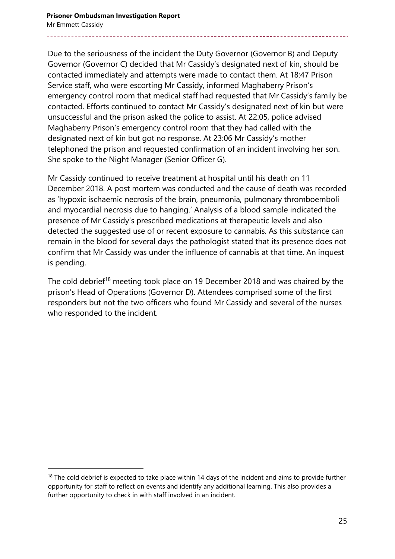Due to the seriousness of the incident the Duty Governor (Governor B) and Deputy Governor (Governor C) decided that Mr Cassidy's designated next of kin, should be contacted immediately and attempts were made to contact them. At 18:47 Prison Service staff, who were escorting Mr Cassidy, informed Maghaberry Prison's emergency control room that medical staff had requested that Mr Cassidy's family be contacted. Efforts continued to contact Mr Cassidy's designated next of kin but were unsuccessful and the prison asked the police to assist. At 22:05, police advised Maghaberry Prison's emergency control room that they had called with the designated next of kin but got no response. At 23:06 Mr Cassidy's mother telephoned the prison and requested confirmation of an incident involving her son. She spoke to the Night Manager (Senior Officer G).

Mr Cassidy continued to receive treatment at hospital until his death on 11 December 2018. A post mortem was conducted and the cause of death was recorded as 'hypoxic ischaemic necrosis of the brain, pneumonia, pulmonary thromboemboli and myocardial necrosis due to hanging.' Analysis of a blood sample indicated the presence of Mr Cassidy's prescribed medications at therapeutic levels and also detected the suggested use of or recent exposure to cannabis. As this substance can remain in the blood for several days the pathologist stated that its presence does not confirm that Mr Cassidy was under the influence of cannabis at that time. An inquest is pending.

The cold debrief<sup>18</sup> meeting took place on 19 December 2018 and was chaired by the prison's Head of Operations (Governor D). Attendees comprised some of the first responders but not the two officers who found Mr Cassidy and several of the nurses who responded to the incident.

 $18$  The cold debrief is expected to take place within 14 days of the incident and aims to provide further opportunity for staff to reflect on events and identify any additional learning. This also provides a further opportunity to check in with staff involved in an incident.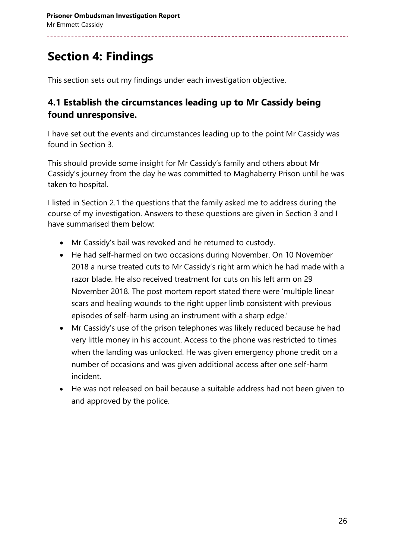# **Section 4: Findings**

This section sets out my findings under each investigation objective.

#### **4.1 Establish the circumstances leading up to Mr Cassidy being found unresponsive.**

I have set out the events and circumstances leading up to the point Mr Cassidy was found in Section 3.

This should provide some insight for Mr Cassidy's family and others about Mr Cassidy's journey from the day he was committed to Maghaberry Prison until he was taken to hospital.

I listed in Section 2.1 the questions that the family asked me to address during the course of my investigation. Answers to these questions are given in Section 3 and I have summarised them below:

- Mr Cassidy's bail was revoked and he returned to custody.
- He had self-harmed on two occasions during November. On 10 November 2018 a nurse treated cuts to Mr Cassidy's right arm which he had made with a razor blade. He also received treatment for cuts on his left arm on 29 November 2018. The post mortem report stated there were 'multiple linear scars and healing wounds to the right upper limb consistent with previous episodes of self-harm using an instrument with a sharp edge.'
- Mr Cassidy's use of the prison telephones was likely reduced because he had very little money in his account. Access to the phone was restricted to times when the landing was unlocked. He was given emergency phone credit on a number of occasions and was given additional access after one self-harm incident.
- He was not released on bail because a suitable address had not been given to and approved by the police.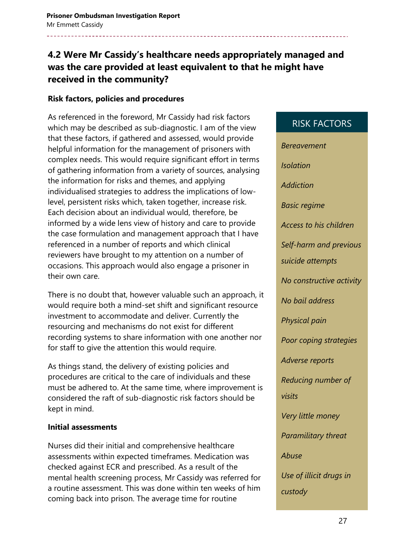### **4.2 Were Mr Cassidy's healthcare needs appropriately managed and was the care provided at least equivalent to that he might have received in the community?**

#### **Risk factors, policies and procedures**

As referenced in the foreword, Mr Cassidy had risk factors which may be described as sub-diagnostic. I am of the view that these factors, if gathered and assessed, would provide helpful information for the management of prisoners with complex needs. This would require significant effort in terms of gathering information from a variety of sources, analysing the information for risks and themes, and applying individualised strategies to address the implications of lowlevel, persistent risks which, taken together, increase risk. Each decision about an individual would, therefore, be informed by a wide lens view of history and care to provide the case formulation and management approach that I have referenced in a number of reports and which clinical reviewers have brought to my attention on a number of occasions. This approach would also engage a prisoner in their own care.

There is no doubt that, however valuable such an approach, it would require both a mind-set shift and significant resource investment to accommodate and deliver. Currently the resourcing and mechanisms do not exist for different recording systems to share information with one another nor for staff to give the attention this would require.

As things stand, the delivery of existing policies and procedures are critical to the care of individuals and these must be adhered to. At the same time, where improvement is considered the raft of sub-diagnostic risk factors should be kept in mind.

#### **Initial assessments**

Nurses did their initial and comprehensive healthcare assessments within expected timeframes. Medication was checked against ECR and prescribed. As a result of the mental health screening process, Mr Cassidy was referred for a routine assessment. This was done within ten weeks of him coming back into prison. The average time for routine

# *Bereavement Isolation Addiction Basic regime Access to his children Self-harm and previous suicide attempts No constructive activity No bail address Physical pain Poor coping strategies Adverse reports Reducing number of visits Very little money Paramilitary threat Abuse Use of illicit drugs in custody*

RISK FACTORS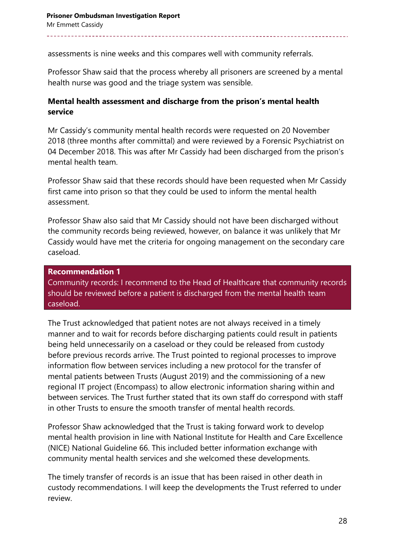assessments is nine weeks and this compares well with community referrals.

Professor Shaw said that the process whereby all prisoners are screened by a mental health nurse was good and the triage system was sensible.

#### **Mental health assessment and discharge from the prison's mental health service**

Mr Cassidy's community mental health records were requested on 20 November 2018 (three months after committal) and were reviewed by a Forensic Psychiatrist on 04 December 2018. This was after Mr Cassidy had been discharged from the prison's mental health team.

Professor Shaw said that these records should have been requested when Mr Cassidy first came into prison so that they could be used to inform the mental health assessment.

Professor Shaw also said that Mr Cassidy should not have been discharged without the community records being reviewed, however, on balance it was unlikely that Mr Cassidy would have met the criteria for ongoing management on the secondary care caseload.

#### **Recommendation 1**

Community records: I recommend to the Head of Healthcare that community records should be reviewed before a patient is discharged from the mental health team caseload.

The Trust acknowledged that patient notes are not always received in a timely manner and to wait for records before discharging patients could result in patients being held unnecessarily on a caseload or they could be released from custody before previous records arrive. The Trust pointed to regional processes to improve information flow between services including a new protocol for the transfer of mental patients between Trusts (August 2019) and the commissioning of a new regional IT project (Encompass) to allow electronic information sharing within and between services. The Trust further stated that its own staff do correspond with staff in other Trusts to ensure the smooth transfer of mental health records.

Professor Shaw acknowledged that the Trust is taking forward work to develop mental health provision in line with National Institute for Health and Care Excellence (NICE) National Guideline 66. This included better information exchange with community mental health services and she welcomed these developments.

The timely transfer of records is an issue that has been raised in other death in custody recommendations. I will keep the developments the Trust referred to under review.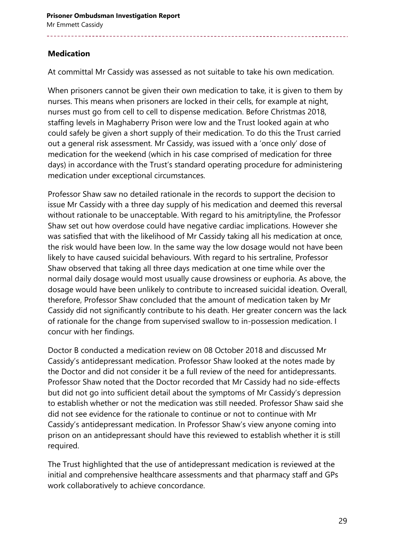#### **Medication**

At committal Mr Cassidy was assessed as not suitable to take his own medication.

When prisoners cannot be given their own medication to take, it is given to them by nurses. This means when prisoners are locked in their cells, for example at night, nurses must go from cell to cell to dispense medication. Before Christmas 2018, staffing levels in Maghaberry Prison were low and the Trust looked again at who could safely be given a short supply of their medication. To do this the Trust carried out a general risk assessment. Mr Cassidy, was issued with a 'once only' dose of medication for the weekend (which in his case comprised of medication for three days) in accordance with the Trust's standard operating procedure for administering medication under exceptional circumstances.

Professor Shaw saw no detailed rationale in the records to support the decision to issue Mr Cassidy with a three day supply of his medication and deemed this reversal without rationale to be unacceptable. With regard to his amitriptyline, the Professor Shaw set out how overdose could have negative cardiac implications. However she was satisfied that with the likelihood of Mr Cassidy taking all his medication at once, the risk would have been low. In the same way the low dosage would not have been likely to have caused suicidal behaviours. With regard to his sertraline, Professor Shaw observed that taking all three days medication at one time while over the normal daily dosage would most usually cause drowsiness or euphoria. As above, the dosage would have been unlikely to contribute to increased suicidal ideation. Overall, therefore, Professor Shaw concluded that the amount of medication taken by Mr Cassidy did not significantly contribute to his death. Her greater concern was the lack of rationale for the change from supervised swallow to in-possession medication. I concur with her findings.

Doctor B conducted a medication review on 08 October 2018 and discussed Mr Cassidy's antidepressant medication. Professor Shaw looked at the notes made by the Doctor and did not consider it be a full review of the need for antidepressants. Professor Shaw noted that the Doctor recorded that Mr Cassidy had no side-effects but did not go into sufficient detail about the symptoms of Mr Cassidy's depression to establish whether or not the medication was still needed. Professor Shaw said she did not see evidence for the rationale to continue or not to continue with Mr Cassidy's antidepressant medication. In Professor Shaw's view anyone coming into prison on an antidepressant should have this reviewed to establish whether it is still required.

The Trust highlighted that the use of antidepressant medication is reviewed at the initial and comprehensive healthcare assessments and that pharmacy staff and GPs work collaboratively to achieve concordance.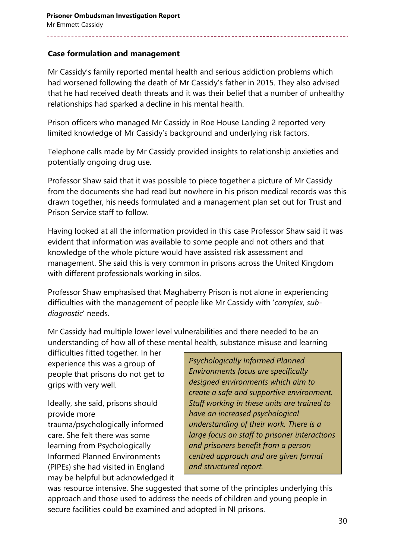#### **Case formulation and management**

Mr Cassidy's family reported mental health and serious addiction problems which had worsened following the death of Mr Cassidy's father in 2015. They also advised that he had received death threats and it was their belief that a number of unhealthy relationships had sparked a decline in his mental health.

Prison officers who managed Mr Cassidy in Roe House Landing 2 reported very limited knowledge of Mr Cassidy's background and underlying risk factors.

Telephone calls made by Mr Cassidy provided insights to relationship anxieties and potentially ongoing drug use.

Professor Shaw said that it was possible to piece together a picture of Mr Cassidy from the documents she had read but nowhere in his prison medical records was this drawn together, his needs formulated and a management plan set out for Trust and Prison Service staff to follow.

Having looked at all the information provided in this case Professor Shaw said it was evident that information was available to some people and not others and that knowledge of the whole picture would have assisted risk assessment and management. She said this is very common in prisons across the United Kingdom with different professionals working in silos.

Professor Shaw emphasised that Maghaberry Prison is not alone in experiencing difficulties with the management of people like Mr Cassidy with '*complex, subdiagnostic*' needs.

Mr Cassidy had multiple lower level vulnerabilities and there needed to be an understanding of how all of these mental health, substance misuse and learning

difficulties fitted together. In her experience this was a group of people that prisons do not get to grips with very well.

Ideally, she said, prisons should provide more trauma/psychologically informed care. She felt there was some learning from Psychologically Informed Planned Environments (PIPEs) she had visited in England may be helpful but acknowledged it

*Psychologically Informed Planned Environments focus are specifically designed environments which aim to create a safe and supportive environment. Staff working in these units are trained to have an increased psychological understanding of their work. There is a large focus on staff to prisoner interactions and prisoners benefit from a person centred approach and are given formal and structured report.* 

was resource intensive. She suggested that some of the principles underlying this approach and those used to address the needs of children and young people in secure facilities could be examined and adopted in NI prisons.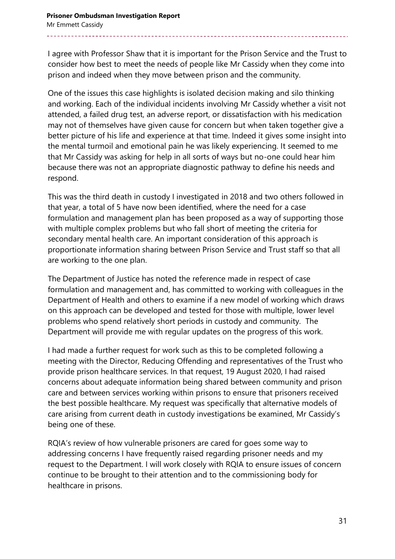I agree with Professor Shaw that it is important for the Prison Service and the Trust to consider how best to meet the needs of people like Mr Cassidy when they come into prison and indeed when they move between prison and the community.

One of the issues this case highlights is isolated decision making and silo thinking and working. Each of the individual incidents involving Mr Cassidy whether a visit not attended, a failed drug test, an adverse report, or dissatisfaction with his medication may not of themselves have given cause for concern but when taken together give a better picture of his life and experience at that time. Indeed it gives some insight into the mental turmoil and emotional pain he was likely experiencing. It seemed to me that Mr Cassidy was asking for help in all sorts of ways but no-one could hear him because there was not an appropriate diagnostic pathway to define his needs and respond.

This was the third death in custody I investigated in 2018 and two others followed in that year, a total of 5 have now been identified, where the need for a case formulation and management plan has been proposed as a way of supporting those with multiple complex problems but who fall short of meeting the criteria for secondary mental health care. An important consideration of this approach is proportionate information sharing between Prison Service and Trust staff so that all are working to the one plan.

The Department of Justice has noted the reference made in respect of case formulation and management and, has committed to working with colleagues in the Department of Health and others to examine if a new model of working which draws on this approach can be developed and tested for those with multiple, lower level problems who spend relatively short periods in custody and community. The Department will provide me with regular updates on the progress of this work.

I had made a further request for work such as this to be completed following a meeting with the Director, Reducing Offending and representatives of the Trust who provide prison healthcare services. In that request, 19 August 2020, I had raised concerns about adequate information being shared between community and prison care and between services working within prisons to ensure that prisoners received the best possible healthcare. My request was specifically that alternative models of care arising from current death in custody investigations be examined, Mr Cassidy's being one of these.

RQIA's review of how vulnerable prisoners are cared for goes some way to addressing concerns I have frequently raised regarding prisoner needs and my request to the Department. I will work closely with RQIA to ensure issues of concern continue to be brought to their attention and to the commissioning body for healthcare in prisons.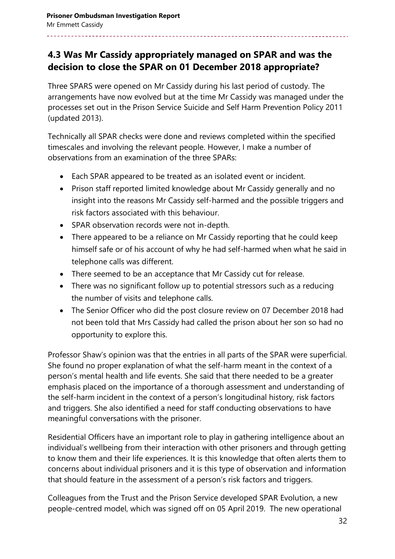### **4.3 Was Mr Cassidy appropriately managed on SPAR and was the decision to close the SPAR on 01 December 2018 appropriate?**

Three SPARS were opened on Mr Cassidy during his last period of custody. The arrangements have now evolved but at the time Mr Cassidy was managed under the processes set out in the Prison Service Suicide and Self Harm Prevention Policy 2011 (updated 2013).

Technically all SPAR checks were done and reviews completed within the specified timescales and involving the relevant people. However, I make a number of observations from an examination of the three SPARs:

- Each SPAR appeared to be treated as an isolated event or incident.
- Prison staff reported limited knowledge about Mr Cassidy generally and no insight into the reasons Mr Cassidy self-harmed and the possible triggers and risk factors associated with this behaviour.
- SPAR observation records were not in-depth.
- There appeared to be a reliance on Mr Cassidy reporting that he could keep himself safe or of his account of why he had self-harmed when what he said in telephone calls was different.
- There seemed to be an acceptance that Mr Cassidy cut for release.
- There was no significant follow up to potential stressors such as a reducing the number of visits and telephone calls.
- The Senior Officer who did the post closure review on 07 December 2018 had not been told that Mrs Cassidy had called the prison about her son so had no opportunity to explore this.

Professor Shaw's opinion was that the entries in all parts of the SPAR were superficial. She found no proper explanation of what the self-harm meant in the context of a person's mental health and life events. She said that there needed to be a greater emphasis placed on the importance of a thorough assessment and understanding of the self-harm incident in the context of a person's longitudinal history, risk factors and triggers. She also identified a need for staff conducting observations to have meaningful conversations with the prisoner.

Residential Officers have an important role to play in gathering intelligence about an individual's wellbeing from their interaction with other prisoners and through getting to know them and their life experiences. It is this knowledge that often alerts them to concerns about individual prisoners and it is this type of observation and information that should feature in the assessment of a person's risk factors and triggers.

Colleagues from the Trust and the Prison Service developed SPAR Evolution, a new people-centred model, which was signed off on 05 April 2019. The new operational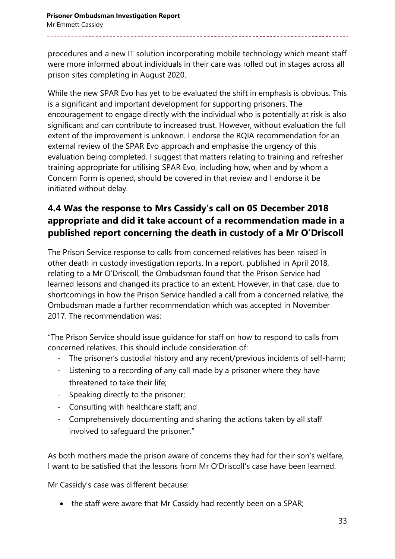procedures and a new IT solution incorporating mobile technology which meant staff were more informed about individuals in their care was rolled out in stages across all prison sites completing in August 2020.

While the new SPAR Evo has yet to be evaluated the shift in emphasis is obvious. This is a significant and important development for supporting prisoners. The encouragement to engage directly with the individual who is potentially at risk is also significant and can contribute to increased trust. However, without evaluation the full extent of the improvement is unknown. I endorse the RQIA recommendation for an external review of the SPAR Evo approach and emphasise the urgency of this evaluation being completed. I suggest that matters relating to training and refresher training appropriate for utilising SPAR Evo, including how, when and by whom a Concern Form is opened, should be covered in that review and I endorse it be initiated without delay.

### **4.4 Was the response to Mrs Cassidy's call on 05 December 2018 appropriate and did it take account of a recommendation made in a published report concerning the death in custody of a Mr O'Driscoll**

The Prison Service response to calls from concerned relatives has been raised in other death in custody investigation reports. In a report, published in April 2018, relating to a Mr O'Driscoll, the Ombudsman found that the Prison Service had learned lessons and changed its practice to an extent. However, in that case, due to shortcomings in how the Prison Service handled a call from a concerned relative, the Ombudsman made a further recommendation which was accepted in November 2017. The recommendation was:

"The Prison Service should issue guidance for staff on how to respond to calls from concerned relatives. This should include consideration of:

- The prisoner's custodial history and any recent/previous incidents of self-harm;
- Listening to a recording of any call made by a prisoner where they have threatened to take their life;
- Speaking directly to the prisoner;
- Consulting with healthcare staff; and
- Comprehensively documenting and sharing the actions taken by all staff involved to safeguard the prisoner."

As both mothers made the prison aware of concerns they had for their son's welfare, I want to be satisfied that the lessons from Mr O'Driscoll's case have been learned.

Mr Cassidy's case was different because:

• the staff were aware that Mr Cassidy had recently been on a SPAR;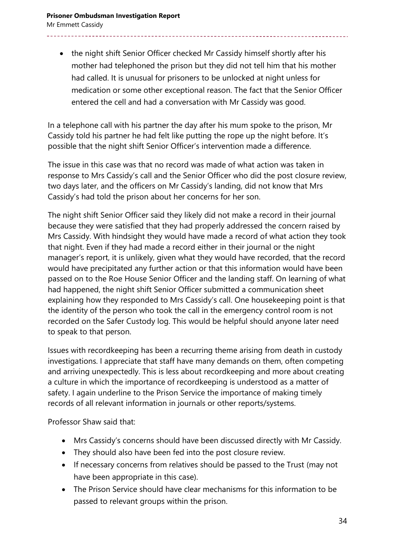• the night shift Senior Officer checked Mr Cassidy himself shortly after his mother had telephoned the prison but they did not tell him that his mother had called. It is unusual for prisoners to be unlocked at night unless for medication or some other exceptional reason. The fact that the Senior Officer entered the cell and had a conversation with Mr Cassidy was good.

In a telephone call with his partner the day after his mum spoke to the prison, Mr Cassidy told his partner he had felt like putting the rope up the night before. It's possible that the night shift Senior Officer's intervention made a difference.

The issue in this case was that no record was made of what action was taken in response to Mrs Cassidy's call and the Senior Officer who did the post closure review, two days later, and the officers on Mr Cassidy's landing, did not know that Mrs Cassidy's had told the prison about her concerns for her son.

The night shift Senior Officer said they likely did not make a record in their journal because they were satisfied that they had properly addressed the concern raised by Mrs Cassidy. With hindsight they would have made a record of what action they took that night. Even if they had made a record either in their journal or the night manager's report, it is unlikely, given what they would have recorded, that the record would have precipitated any further action or that this information would have been passed on to the Roe House Senior Officer and the landing staff. On learning of what had happened, the night shift Senior Officer submitted a communication sheet explaining how they responded to Mrs Cassidy's call. One housekeeping point is that the identity of the person who took the call in the emergency control room is not recorded on the Safer Custody log. This would be helpful should anyone later need to speak to that person.

Issues with recordkeeping has been a recurring theme arising from death in custody investigations. I appreciate that staff have many demands on them, often competing and arriving unexpectedly. This is less about recordkeeping and more about creating a culture in which the importance of recordkeeping is understood as a matter of safety. I again underline to the Prison Service the importance of making timely records of all relevant information in journals or other reports/systems.

Professor Shaw said that:

- Mrs Cassidy's concerns should have been discussed directly with Mr Cassidy.
- They should also have been fed into the post closure review.
- If necessary concerns from relatives should be passed to the Trust (may not have been appropriate in this case).
- The Prison Service should have clear mechanisms for this information to be passed to relevant groups within the prison.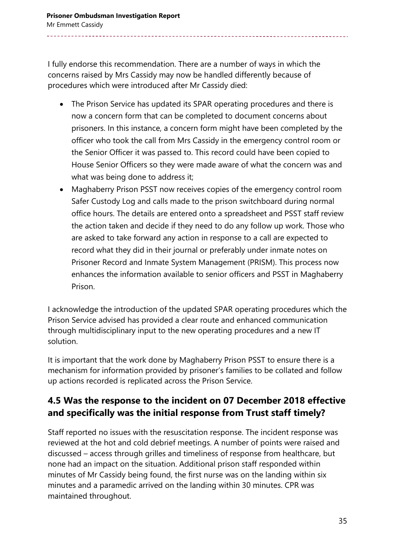I fully endorse this recommendation. There are a number of ways in which the concerns raised by Mrs Cassidy may now be handled differently because of procedures which were introduced after Mr Cassidy died:

- The Prison Service has updated its SPAR operating procedures and there is now a concern form that can be completed to document concerns about prisoners. In this instance, a concern form might have been completed by the officer who took the call from Mrs Cassidy in the emergency control room or the Senior Officer it was passed to. This record could have been copied to House Senior Officers so they were made aware of what the concern was and what was being done to address it;
- Maghaberry Prison PSST now receives copies of the emergency control room Safer Custody Log and calls made to the prison switchboard during normal office hours. The details are entered onto a spreadsheet and PSST staff review the action taken and decide if they need to do any follow up work. Those who are asked to take forward any action in response to a call are expected to record what they did in their journal or preferably under inmate notes on Prisoner Record and Inmate System Management (PRISM). This process now enhances the information available to senior officers and PSST in Maghaberry Prison.

I acknowledge the introduction of the updated SPAR operating procedures which the Prison Service advised has provided a clear route and enhanced communication through multidisciplinary input to the new operating procedures and a new IT solution.

It is important that the work done by Maghaberry Prison PSST to ensure there is a mechanism for information provided by prisoner's families to be collated and follow up actions recorded is replicated across the Prison Service.

#### **4.5 Was the response to the incident on 07 December 2018 effective and specifically was the initial response from Trust staff timely?**

Staff reported no issues with the resuscitation response. The incident response was reviewed at the hot and cold debrief meetings. A number of points were raised and discussed – access through grilles and timeliness of response from healthcare, but none had an impact on the situation. Additional prison staff responded within minutes of Mr Cassidy being found, the first nurse was on the landing within six minutes and a paramedic arrived on the landing within 30 minutes. CPR was maintained throughout.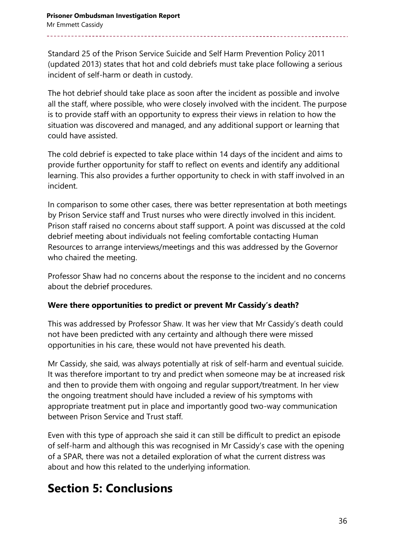Standard 25 of the Prison Service Suicide and Self Harm Prevention Policy 2011 (updated 2013) states that hot and cold debriefs must take place following a serious incident of self-harm or death in custody.

The hot debrief should take place as soon after the incident as possible and involve all the staff, where possible, who were closely involved with the incident. The purpose is to provide staff with an opportunity to express their views in relation to how the situation was discovered and managed, and any additional support or learning that could have assisted.

The cold debrief is expected to take place within 14 days of the incident and aims to provide further opportunity for staff to reflect on events and identify any additional learning. This also provides a further opportunity to check in with staff involved in an incident.

In comparison to some other cases, there was better representation at both meetings by Prison Service staff and Trust nurses who were directly involved in this incident. Prison staff raised no concerns about staff support. A point was discussed at the cold debrief meeting about individuals not feeling comfortable contacting Human Resources to arrange interviews/meetings and this was addressed by the Governor who chaired the meeting.

Professor Shaw had no concerns about the response to the incident and no concerns about the debrief procedures.

#### **Were there opportunities to predict or prevent Mr Cassidy's death?**

This was addressed by Professor Shaw. It was her view that Mr Cassidy's death could not have been predicted with any certainty and although there were missed opportunities in his care, these would not have prevented his death.

Mr Cassidy, she said, was always potentially at risk of self-harm and eventual suicide. It was therefore important to try and predict when someone may be at increased risk and then to provide them with ongoing and regular support/treatment. In her view the ongoing treatment should have included a review of his symptoms with appropriate treatment put in place and importantly good two-way communication between Prison Service and Trust staff.

Even with this type of approach she said it can still be difficult to predict an episode of self-harm and although this was recognised in Mr Cassidy's case with the opening of a SPAR, there was not a detailed exploration of what the current distress was about and how this related to the underlying information.

## **Section 5: Conclusions**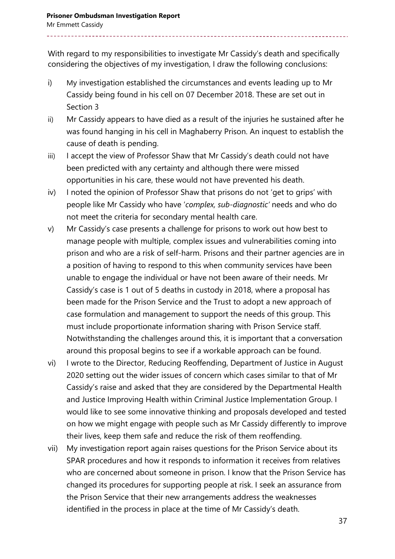With regard to my responsibilities to investigate Mr Cassidy's death and specifically considering the objectives of my investigation, I draw the following conclusions:

- i) My investigation established the circumstances and events leading up to Mr Cassidy being found in his cell on 07 December 2018. These are set out in Section 3
- ii) Mr Cassidy appears to have died as a result of the injuries he sustained after he was found hanging in his cell in Maghaberry Prison. An inquest to establish the cause of death is pending.
- iii) I accept the view of Professor Shaw that Mr Cassidy's death could not have been predicted with any certainty and although there were missed opportunities in his care, these would not have prevented his death.
- iv) I noted the opinion of Professor Shaw that prisons do not 'get to grips' with people like Mr Cassidy who have '*complex, sub-diagnostic'* needs and who do not meet the criteria for secondary mental health care.
- v) Mr Cassidy's case presents a challenge for prisons to work out how best to manage people with multiple, complex issues and vulnerabilities coming into prison and who are a risk of self-harm. Prisons and their partner agencies are in a position of having to respond to this when community services have been unable to engage the individual or have not been aware of their needs. Mr Cassidy's case is 1 out of 5 deaths in custody in 2018, where a proposal has been made for the Prison Service and the Trust to adopt a new approach of case formulation and management to support the needs of this group. This must include proportionate information sharing with Prison Service staff. Notwithstanding the challenges around this, it is important that a conversation around this proposal begins to see if a workable approach can be found.
- vi) I wrote to the Director, Reducing Reoffending, Department of Justice in August 2020 setting out the wider issues of concern which cases similar to that of Mr Cassidy's raise and asked that they are considered by the Departmental Health and Justice Improving Health within Criminal Justice Implementation Group. I would like to see some innovative thinking and proposals developed and tested on how we might engage with people such as Mr Cassidy differently to improve their lives, keep them safe and reduce the risk of them reoffending.
- vii) My investigation report again raises questions for the Prison Service about its SPAR procedures and how it responds to information it receives from relatives who are concerned about someone in prison. I know that the Prison Service has changed its procedures for supporting people at risk. I seek an assurance from the Prison Service that their new arrangements address the weaknesses identified in the process in place at the time of Mr Cassidy's death.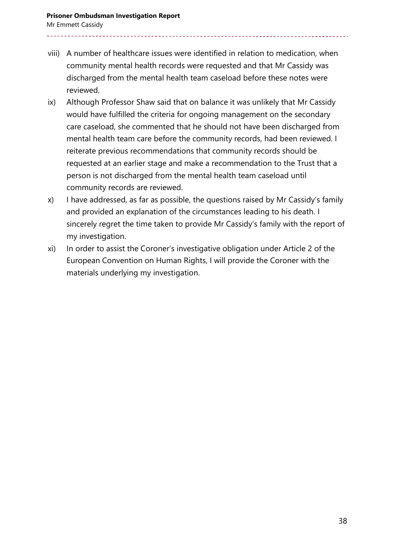- viii) A number of healthcare issues were identified in relation to medication, when community mental health records were requested and that Mr Cassidy was discharged from the mental health team caseload before these notes were reviewed.
- ix) Although Professor Shaw said that on balance it was unlikely that Mr Cassidy would have fulfilled the criteria for ongoing management on the secondary care caseload, she commented that he should not have been discharged from mental health team care before the community records, had been reviewed. I reiterate previous recommendations that community records should be requested at an earlier stage and make a recommendation to the Trust that a person is not discharged from the mental health team caseload until community records are reviewed.
- x) I have addressed, as far as possible, the questions raised by Mr Cassidy's family and provided an explanation of the circumstances leading to his death. I sincerely regret the time taken to provide Mr Cassidy's family with the report of my investigation.
- xi) In order to assist the Coroner's investigative obligation under Article 2 of the European Convention on Human Rights, I will provide the Coroner with the materials underlying my investigation.